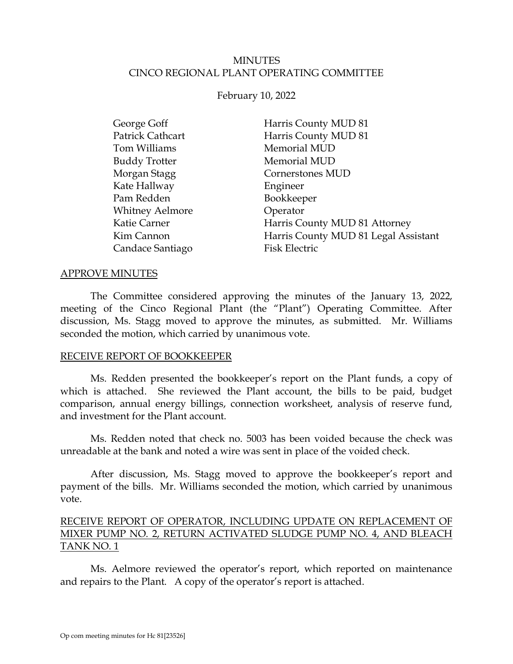## MINUTES CINCO REGIONAL PLANT OPERATING COMMITTEE

### February 10, 2022

| George Goff            | Harris County MUD 81                 |
|------------------------|--------------------------------------|
| Patrick Cathcart       | Harris County MUD 81                 |
| Tom Williams           | Memorial MUD                         |
| <b>Buddy Trotter</b>   | Memorial MUD                         |
| Morgan Stagg           | Cornerstones MUD                     |
| Kate Hallway           | Engineer                             |
| Pam Redden             | Bookkeeper                           |
| <b>Whitney Aelmore</b> | Operator                             |
| Katie Carner           | Harris County MUD 81 Attorney        |
| Kim Cannon             | Harris County MUD 81 Legal Assistant |
| Candace Santiago       | <b>Fisk Electric</b>                 |

#### APPROVE MINUTES

The Committee considered approving the minutes of the January 13, 2022, meeting of the Cinco Regional Plant (the "Plant") Operating Committee. After discussion, Ms. Stagg moved to approve the minutes, as submitted. Mr. Williams seconded the motion, which carried by unanimous vote.

### RECEIVE REPORT OF BOOKKEEPER

<span id="page-0-0"></span>Ms. Redden presented the bookkeeper's report on the Plant funds, a copy of which is attached. She reviewed the Plant account, the bills to be paid, budget comparison, annual energy billings, connection worksheet, analysis of reserve fund, and investment for the Plant account.

Ms. Redden noted that check no. 5003 has been voided because the check was unreadable at the bank and noted a wire was sent in place of the voided check.

After discussion, Ms. Stagg moved to approve the bookkeeper's report and payment of the bills. Mr. Williams seconded the motion, which carried by unanimous vote.

## RECEIVE REPORT OF OPERATOR, INCLUDING UPDATE ON REPLACEMENT OF MIXER PUMP NO. 2, RETURN ACTIVATED SLUDGE PUMP NO. 4, AND BLEACH TANK NO. 1

<span id="page-0-1"></span>Ms. Aelmore reviewed the operator's report, which reported on maintenance and repairs to the Plant. A copy of the operator's report is attached.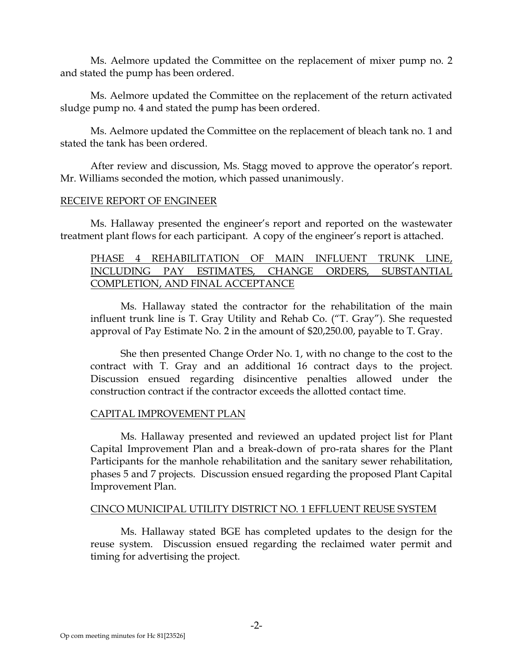Ms. Aelmore updated the Committee on the replacement of mixer pump no. 2 and stated the pump has been ordered.

Ms. Aelmore updated the Committee on the replacement of the return activated sludge pump no. 4 and stated the pump has been ordered.

Ms. Aelmore updated the Committee on the replacement of bleach tank no. 1 and stated the tank has been ordered.

After review and discussion, Ms. Stagg moved to approve the operator's report. Mr. Williams seconded the motion, which passed unanimously.

### RECEIVE REPORT OF ENGINEER

Ms. Hallaway presented the engineer's report and reported on the wastewater treatment plant flows for each participant. A copy of the engineer's report is attached.

## <span id="page-1-0"></span>PHASE 4 REHABILITATION OF MAIN INFLUENT TRUNK LINE, INCLUDING PAY ESTIMATES, CHANGE ORDERS, SUBSTANTIAL COMPLETION, AND FINAL ACCEPTANCE

Ms. Hallaway stated the contractor for the rehabilitation of the main influent trunk line is T. Gray Utility and Rehab Co. ("T. Gray"). She requested approval of Pay Estimate No. 2 in the amount of \$20,250.00, payable to T. Gray.

She then presented Change Order No. 1, with no change to the cost to the contract with T. Gray and an additional 16 contract days to the project. Discussion ensued regarding disincentive penalties allowed under the construction contract if the contractor exceeds the allotted contact time.

## CAPITAL IMPROVEMENT PLAN

Ms. Hallaway presented and reviewed an updated project list for Plant Capital Improvement Plan and a break-down of pro-rata shares for the Plant Participants for the manhole rehabilitation and the sanitary sewer rehabilitation, phases 5 and 7 projects. Discussion ensued regarding the proposed Plant Capital Improvement Plan.

### CINCO MUNICIPAL UTILITY DISTRICT NO. 1 EFFLUENT REUSE SYSTEM

Ms. Hallaway stated BGE has completed updates to the design for the reuse system. Discussion ensued regarding the reclaimed water permit and timing for advertising the project.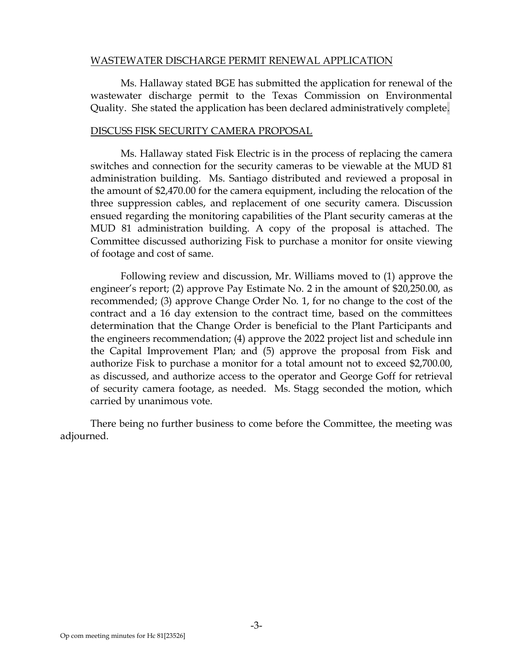### WASTEWATER DISCHARGE PERMIT RENEWAL APPLICATION

Ms. Hallaway stated BGE has submitted the application for renewal of the wastewater discharge permit to the Texas Commission on Environmental Quality. She stated the application has been declared administratively complete.

### DISCUSS FISK SECURITY CAMERA PROPOSAL

<span id="page-2-0"></span>Ms. Hallaway stated Fisk Electric is in the process of replacing the camera switches and connection for the security cameras to be viewable at the MUD 81 administration building. Ms. Santiago distributed and reviewed a proposal in the amount of \$2,470.00 for the camera equipment, including the relocation of the three suppression cables, and replacement of one security camera. Discussion ensued regarding the monitoring capabilities of the Plant security cameras at the MUD 81 administration building. A copy of the proposal is attached. The Committee discussed authorizing Fisk to purchase a monitor for onsite viewing of footage and cost of same.

Following review and discussion, Mr. Williams moved to (1) approve the engineer's report; (2) approve Pay Estimate No. 2 in the amount of \$20,250.00, as recommended; (3) approve Change Order No. 1, for no change to the cost of the contract and a 16 day extension to the contract time, based on the committees determination that the Change Order is beneficial to the Plant Participants and the engineers recommendation; (4) approve the 2022 project list and schedule inn the Capital Improvement Plan; and (5) approve the proposal from Fisk and authorize Fisk to purchase a monitor for a total amount not to exceed \$2,700.00, as discussed, and authorize access to the operator and George Goff for retrieval of security camera footage, as needed. Ms. Stagg seconded the motion, which carried by unanimous vote.

There being no further business to come before the Committee, the meeting was adjourned.